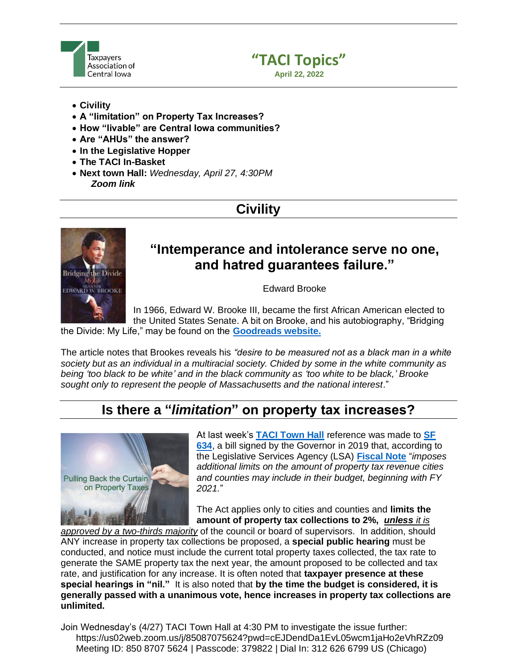



- **Civility**
- **A "limitation" on Property Tax Increases?**
- **How "livable" are Central Iowa communities?**
- **Are "AHUs" the answer?**
- **In the Legislative Hopper**
- **The TACI In-Basket**
- **Next town Hall:** *Wednesday, April 27, 4:30PM Zoom link*

# **Civility**



## **"Intemperance and intolerance serve no one, and hatred guarantees failure."**

Edward Brooke

In 1966, Edward W. Brooke III, became the first African American elected to the United States Senate. A bit on Brooke, and his autobiography, "Bridging the Divide: My Life," may be found on the **[Goodreads website.](https://www.goodreads.com/en/book/show/125248.Bridging_the_Divide)**

The article notes that Brookes reveals his *"desire to be measured not as a black man in a white society but as an individual in a multiracial society. Chided by some in the white community as being 'too black to be white' and in the black community as 'too white to be black,' Brooke sought only to represent the people of Massachusetts and the national interest*."

## **Is there a "***limitation***" on property tax increases?**



At last week's **[TACI Town Hall](https://tacitownhall.org/next-town-hall-36/)** reference was made to **[SF](https://www.legis.iowa.gov/legislation/BillBook?ga=88&ba=SF634)  [634](https://www.legis.iowa.gov/legislation/BillBook?ga=88&ba=SF634)**, a bill signed by the Governor in 2019 that, according to the Legislative Services Agency (LSA) **[Fiscal Note](https://www.legis.iowa.gov/docs/publications/FN/1069697.pdf)** "*imposes additional limits on the amount of property tax revenue cities and counties may include in their budget, beginning with FY 2021.*"

The Act applies only to cities and counties and **limits the amount of property tax collections to 2%,** *unless it is* 

*approved by a two-thirds majority* of the council or board of supervisors. In addition, should ANY increase in property tax collections be proposed, a **special public hearing** must be conducted, and notice must include the current total property taxes collected, the tax rate to generate the SAME property tax the next year, the amount proposed to be collected and tax rate, and justification for any increase. It is often noted that **taxpayer presence at these special hearings in "nil."** It is also noted that **by the time the budget is considered, it is generally passed with a unanimous vote, hence increases in property tax collections are unlimited.**

Join Wednesday's (4/27) TACI Town Hall at 4:30 PM to investigate the issue further: https://us02web.zoom.us/j/85087075624?pwd=cEJDendDa1EvL05wcm1jaHo2eVhRZz09 Meeting ID: 850 8707 5624 | Passcode: 379822 | Dial In: 312 626 6799 US (Chicago)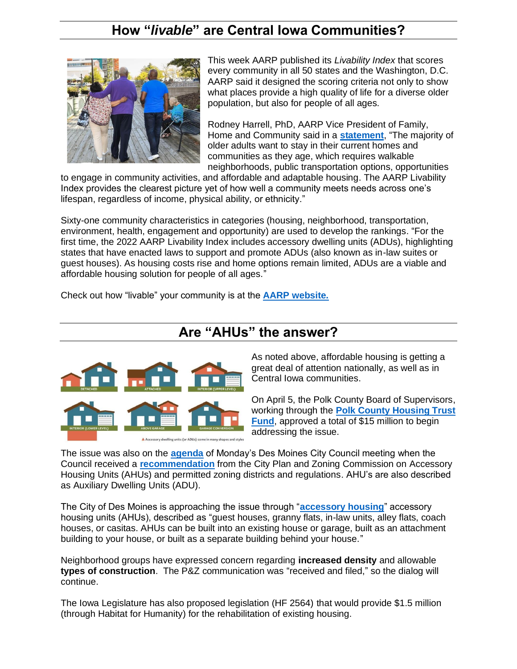## **How "***livable***" are Central Iowa Communities?**



This week AARP published its *Livability Index* that scores every community in all 50 states and the Washington, D.C. AARP said it designed the scoring criteria not only to show what places provide a high quality of life for a diverse older population, but also for people of all ages.

Rodney Harrell, PhD, AARP Vice President of Family, Home and Community said in a **[statement](https://states.aarp.org/michigan/aarp-relaunches-its-livability-index-to-reveal-americas-top-scoring-cities-and-towns-in-2022)**, "The majority of older adults want to stay in their current homes and communities as they age, which requires walkable neighborhoods, public transportation options, opportunities

to engage in community activities, and affordable and adaptable housing. The AARP Livability Index provides the clearest picture yet of how well a community meets needs across one's lifespan, regardless of income, physical ability, or ethnicity."

Sixty-one community characteristics in categories (housing, neighborhood, transportation, environment, health, engagement and opportunity) are used to develop the rankings. "For the first time, the 2022 AARP Livability Index includes accessory dwelling units (ADUs), highlighting states that have enacted laws to support and promote ADUs (also known as in-law suites or guest houses). As housing costs rise and home options remain limited, ADUs are a viable and affordable housing solution for people of all ages."

Check out how "livable" your community is at the **[AARP website.](https://livabilityindex.aarp.org/?cmp=RDRCT-32043cc7-20200401)**

## **Are "AHUs" the answer?**



As noted above, affordable housing is getting a great deal of attention nationally, as well as in Central Iowa communities.

On April 5, the Polk County Board of Supervisors, working through the **[Polk County Housing Trust](https://www.pchtf.org/about-us/recent-news/polk-county-approves-landmark-investment-to-advance-long-term-housing-opportunity/)  [Fund](https://www.pchtf.org/about-us/recent-news/polk-county-approves-landmark-investment-to-advance-long-term-housing-opportunity/)**, approved a total of \$15 million to begin addressing the issue.

The issue was also on the **[agenda](https://councildocs.dsm.city/agendas/ag20220418.pdf?pdf=Agenda&t=1650558078822)** of Monday's Des Moines City Council meeting when the Council received a **[recommendation](http://www.dmgov.org/government/CityCouncil/resolutions/20220404/24a.pdf)** from the City Plan and Zoning Commission on Accessory Housing Units (AHUs) and permitted zoning districts and regulations. AHU's are also described as Auxiliary Dwelling Units (ADU).

The City of Des Moines is approaching the issue through "**[accessory housing](https://www.dsm.city/departments/development_services/permit_and_development_center/accessory_household_units.php)**" accessory housing units (AHUs), described as "guest houses, granny flats, in-law units, alley flats, coach houses, or casitas. AHUs can be built into an existing house or garage, built as an attachment building to your house, or built as a separate building behind your house."

Neighborhood groups have expressed concern regarding **increased density** and allowable **types of construction**. The P&Z communication was "received and filed," so the dialog will continue.

The Iowa Legislature has also proposed legislation (HF 2564) that would provide \$1.5 million (through Habitat for Humanity) for the rehabilitation of existing housing.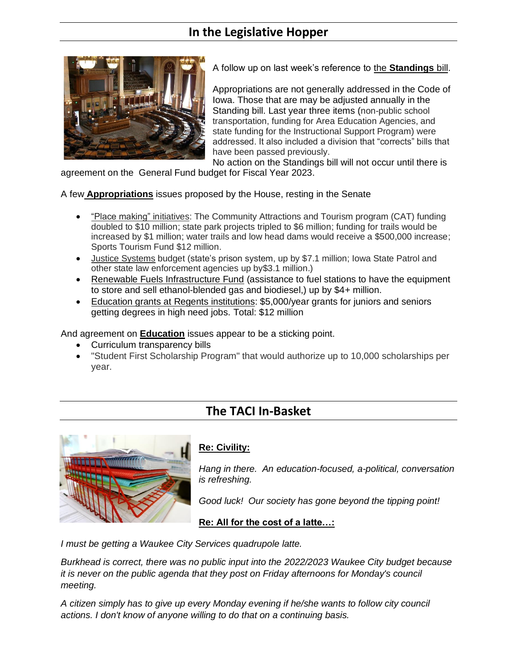## **In the Legislative Hopper**



A follow up on last week's reference to the **Standings** bill.

Appropriations are not generally addressed in the Code of Iowa. Those that are may be adjusted annually in the Standing bill. Last year three items (non-public school transportation, funding for Area Education Agencies, and state funding for the Instructional Support Program) were addressed. It also included a division that "corrects" bills that have been passed previously.

No action on the Standings bill will not occur until there is

agreement on the General Fund budget for Fiscal Year 2023.

A few **Appropriations** issues proposed by the House, resting in the Senate

- "Place making" initiatives: The Community Attractions and Tourism program (CAT) funding doubled to \$10 million; state park projects tripled to \$6 million; funding for trails would be increased by \$1 million; water trails and low head dams would receive a \$500,000 increase; Sports Tourism Fund \$12 million.
- Justice Systems budget (state's prison system, up by \$7.1 million; Iowa State Patrol and other state law enforcement agencies up by\$3.1 million.)
- Renewable Fuels Infrastructure Fund (assistance to fuel stations to have the equipment to store and sell ethanol-blended gas and biodiesel,) up by \$4+ million.
- Education grants at Regents institutions: \$5,000/year grants for juniors and seniors getting degrees in high need jobs. Total: \$12 million

And agreement on **Education** issues appear to be a sticking point.

- Curriculum transparency bills
- "Student First Scholarship Program" that would authorize up to 10,000 scholarships per year.

### **The TACI In-Basket**



#### **Re: Civility:**

*Hang in there. An education-focused, a-political, conversation is refreshing.*

*Good luck! Our society has gone beyond the tipping point!*

#### **Re: All for the cost of a latte…:**

*I must be getting a Waukee City Services quadrupole latte.*

*Burkhead is correct, there was no public input into the 2022/2023 Waukee City budget because it is never on the public agenda that they post on Friday afternoons for Monday's council meeting.*

*A citizen simply has to give up every Monday evening if he/she wants to follow city council actions. I don't know of anyone willing to do that on a continuing basis.*